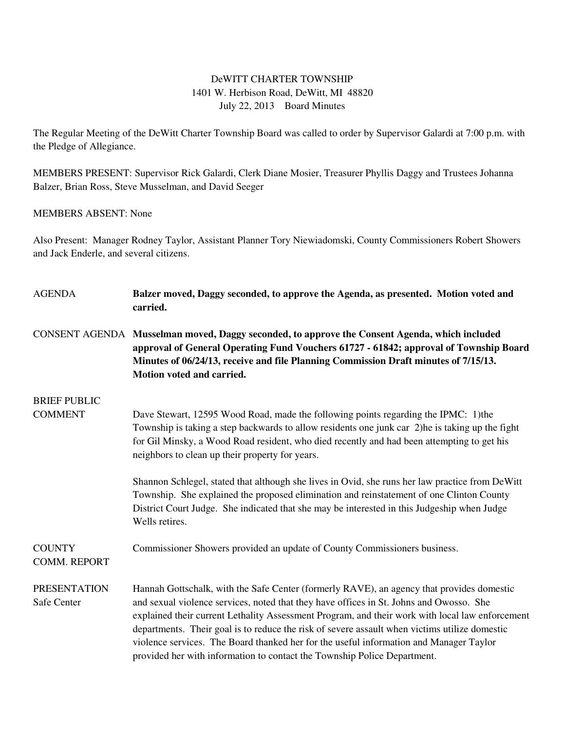## DeWITT CHARTER TOWNSHIP 1401 W. Herbison Road, DeWitt, MI 48820 July 22, 2013 Board Minutes

The Regular Meeting of the DeWitt Charter Township Board was called to order by Supervisor Galardi at 7:00 p.m. with the Pledge of Allegiance.

MEMBERS PRESENT: Supervisor Rick Galardi, Clerk Diane Mosier, Treasurer Phyllis Daggy and Trustees Johanna Balzer, Brian Ross, Steve Musselman, and David Seeger

### MEMBERS ABSENT: None

Also Present: Manager Rodney Taylor, Assistant Planner Tory Niewiadomski, County Commissioners Robert Showers and Jack Enderle, and several citizens.

| <b>AGENDA</b>                        | Balzer moved, Daggy seconded, to approve the Agenda, as presented. Motion voted and<br>carried.                                                                                                                                                                                                                                                                                                                                                                                                                                                                |
|--------------------------------------|----------------------------------------------------------------------------------------------------------------------------------------------------------------------------------------------------------------------------------------------------------------------------------------------------------------------------------------------------------------------------------------------------------------------------------------------------------------------------------------------------------------------------------------------------------------|
|                                      | CONSENT AGENDA Musselman moved, Daggy seconded, to approve the Consent Agenda, which included<br>approval of General Operating Fund Vouchers 61727 - 61842; approval of Township Board<br>Minutes of 06/24/13, receive and file Planning Commission Draft minutes of 7/15/13.<br>Motion voted and carried.                                                                                                                                                                                                                                                     |
| <b>BRIEF PUBLIC</b>                  |                                                                                                                                                                                                                                                                                                                                                                                                                                                                                                                                                                |
| <b>COMMENT</b>                       | Dave Stewart, 12595 Wood Road, made the following points regarding the IPMC: 1) the<br>Township is taking a step backwards to allow residents one junk car 2)he is taking up the fight<br>for Gil Minsky, a Wood Road resident, who died recently and had been attempting to get his<br>neighbors to clean up their property for years.                                                                                                                                                                                                                        |
|                                      | Shannon Schlegel, stated that although she lives in Ovid, she runs her law practice from DeWitt<br>Township. She explained the proposed elimination and reinstatement of one Clinton County<br>District Court Judge. She indicated that she may be interested in this Judgeship when Judge<br>Wells retires.                                                                                                                                                                                                                                                   |
| <b>COUNTY</b><br><b>COMM. REPORT</b> | Commissioner Showers provided an update of County Commissioners business.                                                                                                                                                                                                                                                                                                                                                                                                                                                                                      |
| <b>PRESENTATION</b><br>Safe Center   | Hannah Gottschalk, with the Safe Center (formerly RAVE), an agency that provides domestic<br>and sexual violence services, noted that they have offices in St. Johns and Owosso. She<br>explained their current Lethality Assessment Program, and their work with local law enforcement<br>departments. Their goal is to reduce the risk of severe assault when victims utilize domestic<br>violence services. The Board thanked her for the useful information and Manager Taylor<br>provided her with information to contact the Township Police Department. |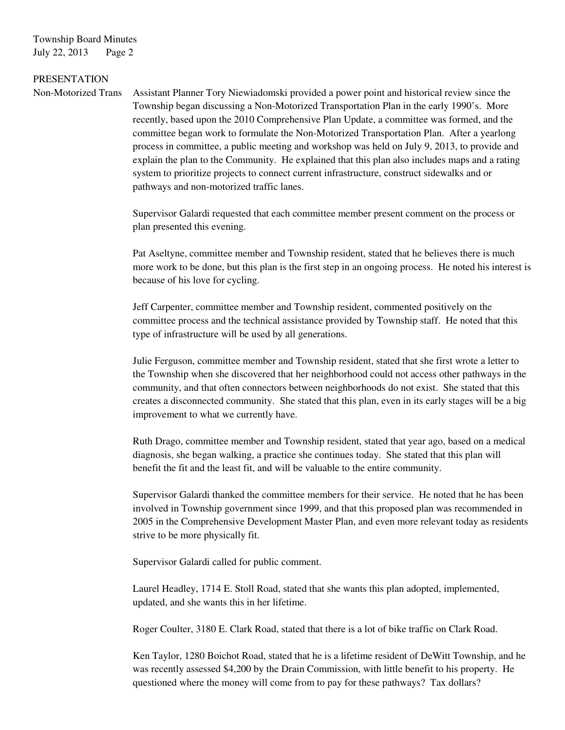Township Board Minutes July 22, 2013 Page 2

#### PRESENTATION

Non-Motorized Trans Assistant Planner Tory Niewiadomski provided a power point and historical review since the Township began discussing a Non-Motorized Transportation Plan in the early 1990's. More recently, based upon the 2010 Comprehensive Plan Update, a committee was formed, and the committee began work to formulate the Non-Motorized Transportation Plan. After a yearlong process in committee, a public meeting and workshop was held on July 9, 2013, to provide and explain the plan to the Community. He explained that this plan also includes maps and a rating system to prioritize projects to connect current infrastructure, construct sidewalks and or pathways and non-motorized traffic lanes.

> Supervisor Galardi requested that each committee member present comment on the process or plan presented this evening.

 Pat Aseltyne, committee member and Township resident, stated that he believes there is much more work to be done, but this plan is the first step in an ongoing process. He noted his interest is because of his love for cycling.

 Jeff Carpenter, committee member and Township resident, commented positively on the committee process and the technical assistance provided by Township staff. He noted that this type of infrastructure will be used by all generations.

 Julie Ferguson, committee member and Township resident, stated that she first wrote a letter to the Township when she discovered that her neighborhood could not access other pathways in the community, and that often connectors between neighborhoods do not exist. She stated that this creates a disconnected community. She stated that this plan, even in its early stages will be a big improvement to what we currently have.

 Ruth Drago, committee member and Township resident, stated that year ago, based on a medical diagnosis, she began walking, a practice she continues today. She stated that this plan will benefit the fit and the least fit, and will be valuable to the entire community.

 Supervisor Galardi thanked the committee members for their service. He noted that he has been involved in Township government since 1999, and that this proposed plan was recommended in 2005 in the Comprehensive Development Master Plan, and even more relevant today as residents strive to be more physically fit.

Supervisor Galardi called for public comment.

 Laurel Headley, 1714 E. Stoll Road, stated that she wants this plan adopted, implemented, updated, and she wants this in her lifetime.

Roger Coulter, 3180 E. Clark Road, stated that there is a lot of bike traffic on Clark Road.

 Ken Taylor, 1280 Boichot Road, stated that he is a lifetime resident of DeWitt Township, and he was recently assessed \$4,200 by the Drain Commission, with little benefit to his property. He questioned where the money will come from to pay for these pathways? Tax dollars?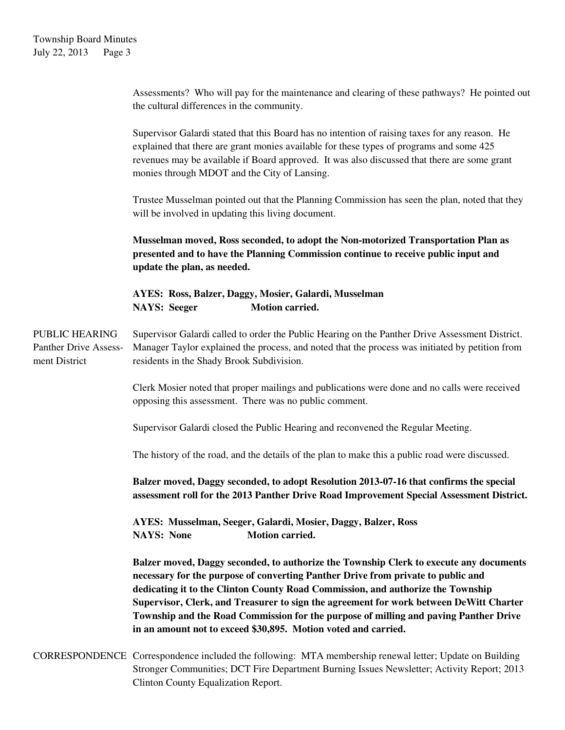Assessments? Who will pay for the maintenance and clearing of these pathways? He pointed out the cultural differences in the community.

 Supervisor Galardi stated that this Board has no intention of raising taxes for any reason. He explained that there are grant monies available for these types of programs and some 425 revenues may be available if Board approved. It was also discussed that there are some grant monies through MDOT and the City of Lansing.

 Trustee Musselman pointed out that the Planning Commission has seen the plan, noted that they will be involved in updating this living document.

**Musselman moved, Ross seconded, to adopt the Non-motorized Transportation Plan as presented and to have the Planning Commission continue to receive public input and update the plan, as needed.** 

 **AYES: Ross, Balzer, Daggy, Mosier, Galardi, Musselman NAYS: Seeger Motion carried.** 

PUBLIC HEARING Supervisor Galardi called to order the Public Hearing on the Panther Drive Assessment District. Panther Drive Assess- Manager Taylor explained the process, and noted that the process was initiated by petition from ment District residents in the Shady Brook Subdivision.

> Clerk Mosier noted that proper mailings and publications were done and no calls were received opposing this assessment. There was no public comment.

Supervisor Galardi closed the Public Hearing and reconvened the Regular Meeting.

The history of the road, and the details of the plan to make this a public road were discussed.

**Balzer moved, Daggy seconded, to adopt Resolution 2013-07-16 that confirms the special assessment roll for the 2013 Panther Drive Road Improvement Special Assessment District.** 

 **AYES: Musselman, Seeger, Galardi, Mosier, Daggy, Balzer, Ross NAYS:** None **Motion carried.** 

 **Balzer moved, Daggy seconded, to authorize the Township Clerk to execute any documents necessary for the purpose of converting Panther Drive from private to public and dedicating it to the Clinton County Road Commission, and authorize the Township Supervisor, Clerk, and Treasurer to sign the agreement for work between DeWitt Charter Township and the Road Commission for the purpose of milling and paving Panther Drive in an amount not to exceed \$30,895. Motion voted and carried.** 

CORRESPONDENCE Correspondence included the following: MTA membership renewal letter; Update on Building Stronger Communities; DCT Fire Department Burning Issues Newsletter; Activity Report; 2013 Clinton County Equalization Report.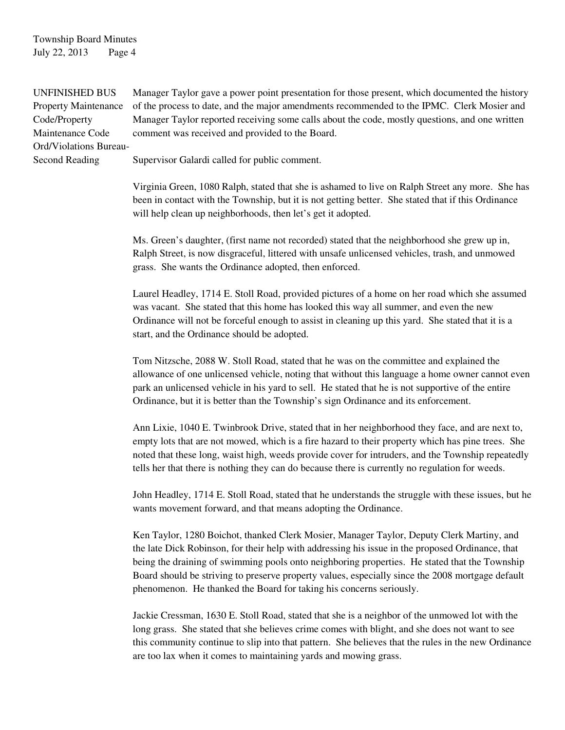## Township Board Minutes July 22, 2013 Page 4

Ord/Violations Bureau-

UNFINISHED BUS Manager Taylor gave a power point presentation for those present, which documented the history Property Maintenance of the process to date, and the major amendments recommended to the IPMC. Clerk Mosier and Code/Property Manager Taylor reported receiving some calls about the code, mostly questions, and one written Maintenance Code comment was received and provided to the Board.

Second Reading Supervisor Galardi called for public comment.

 Virginia Green, 1080 Ralph, stated that she is ashamed to live on Ralph Street any more. She has been in contact with the Township, but it is not getting better. She stated that if this Ordinance will help clean up neighborhoods, then let's get it adopted.

 Ms. Green's daughter, (first name not recorded) stated that the neighborhood she grew up in, Ralph Street, is now disgraceful, littered with unsafe unlicensed vehicles, trash, and unmowed grass. She wants the Ordinance adopted, then enforced.

 Laurel Headley, 1714 E. Stoll Road, provided pictures of a home on her road which she assumed was vacant. She stated that this home has looked this way all summer, and even the new Ordinance will not be forceful enough to assist in cleaning up this yard. She stated that it is a start, and the Ordinance should be adopted.

 Tom Nitzsche, 2088 W. Stoll Road, stated that he was on the committee and explained the allowance of one unlicensed vehicle, noting that without this language a home owner cannot even park an unlicensed vehicle in his yard to sell. He stated that he is not supportive of the entire Ordinance, but it is better than the Township's sign Ordinance and its enforcement.

 Ann Lixie, 1040 E. Twinbrook Drive, stated that in her neighborhood they face, and are next to, empty lots that are not mowed, which is a fire hazard to their property which has pine trees. She noted that these long, waist high, weeds provide cover for intruders, and the Township repeatedly tells her that there is nothing they can do because there is currently no regulation for weeds.

 John Headley, 1714 E. Stoll Road, stated that he understands the struggle with these issues, but he wants movement forward, and that means adopting the Ordinance.

Ken Taylor, 1280 Boichot, thanked Clerk Mosier, Manager Taylor, Deputy Clerk Martiny, and the late Dick Robinson, for their help with addressing his issue in the proposed Ordinance, that being the draining of swimming pools onto neighboring properties. He stated that the Township Board should be striving to preserve property values, especially since the 2008 mortgage default phenomenon. He thanked the Board for taking his concerns seriously.

Jackie Cressman, 1630 E. Stoll Road, stated that she is a neighbor of the unmowed lot with the long grass. She stated that she believes crime comes with blight, and she does not want to see this community continue to slip into that pattern. She believes that the rules in the new Ordinance are too lax when it comes to maintaining yards and mowing grass.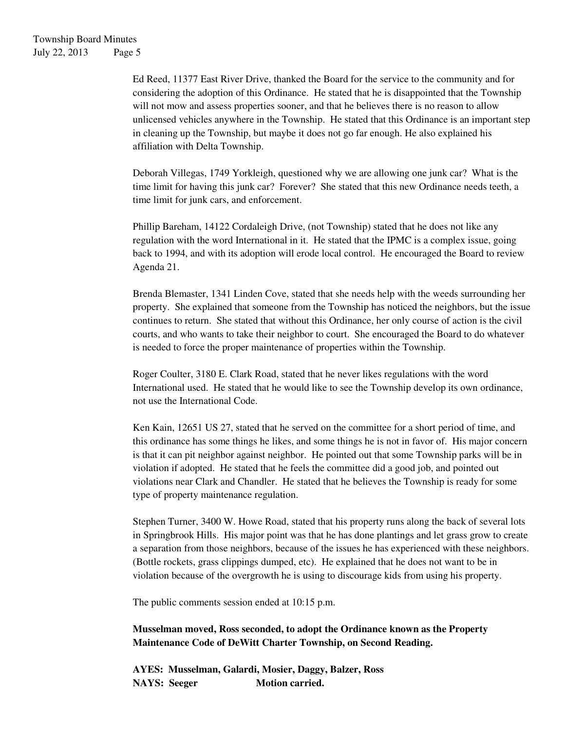Ed Reed, 11377 East River Drive, thanked the Board for the service to the community and for considering the adoption of this Ordinance. He stated that he is disappointed that the Township will not mow and assess properties sooner, and that he believes there is no reason to allow unlicensed vehicles anywhere in the Township. He stated that this Ordinance is an important step in cleaning up the Township, but maybe it does not go far enough. He also explained his affiliation with Delta Township.

Deborah Villegas, 1749 Yorkleigh, questioned why we are allowing one junk car? What is the time limit for having this junk car? Forever? She stated that this new Ordinance needs teeth, a time limit for junk cars, and enforcement.

Phillip Bareham, 14122 Cordaleigh Drive, (not Township) stated that he does not like any regulation with the word International in it. He stated that the IPMC is a complex issue, going back to 1994, and with its adoption will erode local control. He encouraged the Board to review Agenda 21.

Brenda Blemaster, 1341 Linden Cove, stated that she needs help with the weeds surrounding her property. She explained that someone from the Township has noticed the neighbors, but the issue continues to return. She stated that without this Ordinance, her only course of action is the civil courts, and who wants to take their neighbor to court. She encouraged the Board to do whatever is needed to force the proper maintenance of properties within the Township.

Roger Coulter, 3180 E. Clark Road, stated that he never likes regulations with the word International used. He stated that he would like to see the Township develop its own ordinance, not use the International Code.

Ken Kain, 12651 US 27, stated that he served on the committee for a short period of time, and this ordinance has some things he likes, and some things he is not in favor of. His major concern is that it can pit neighbor against neighbor. He pointed out that some Township parks will be in violation if adopted. He stated that he feels the committee did a good job, and pointed out violations near Clark and Chandler. He stated that he believes the Township is ready for some type of property maintenance regulation.

Stephen Turner, 3400 W. Howe Road, stated that his property runs along the back of several lots in Springbrook Hills. His major point was that he has done plantings and let grass grow to create a separation from those neighbors, because of the issues he has experienced with these neighbors. (Bottle rockets, grass clippings dumped, etc). He explained that he does not want to be in violation because of the overgrowth he is using to discourage kids from using his property.

The public comments session ended at 10:15 p.m.

**Musselman moved, Ross seconded, to adopt the Ordinance known as the Property Maintenance Code of DeWitt Charter Township, on Second Reading.** 

**AYES: Musselman, Galardi, Mosier, Daggy, Balzer, Ross NAYS: Seeger Motion carried.**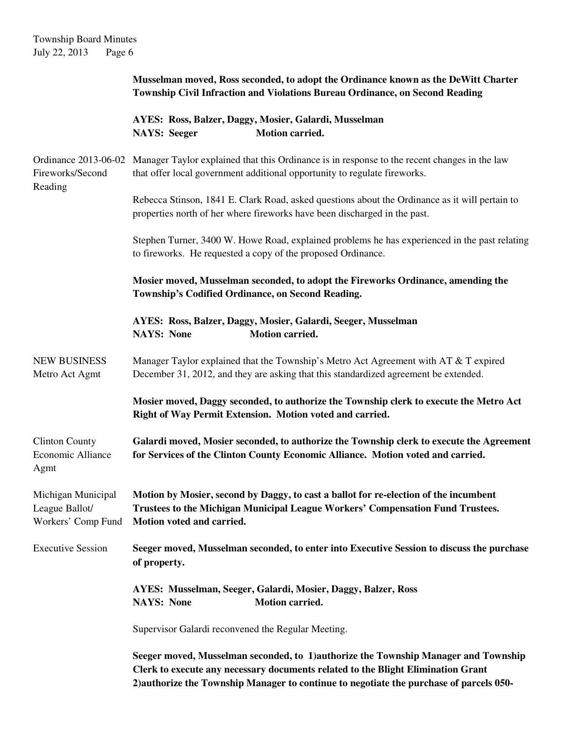# Township Board Minutes July 22, 2013 Page 6

|                                                            | Musselman moved, Ross seconded, to adopt the Ordinance known as the DeWitt Charter<br><b>Township Civil Infraction and Violations Bureau Ordinance, on Second Reading</b>                                                                                          |
|------------------------------------------------------------|--------------------------------------------------------------------------------------------------------------------------------------------------------------------------------------------------------------------------------------------------------------------|
|                                                            | AYES: Ross, Balzer, Daggy, Mosier, Galardi, Musselman<br><b>Motion carried.</b><br><b>NAYS: Seeger</b>                                                                                                                                                             |
| Ordinance 2013-06-02<br>Fireworks/Second<br>Reading        | Manager Taylor explained that this Ordinance is in response to the recent changes in the law<br>that offer local government additional opportunity to regulate fireworks.                                                                                          |
|                                                            | Rebecca Stinson, 1841 E. Clark Road, asked questions about the Ordinance as it will pertain to<br>properties north of her where fireworks have been discharged in the past.                                                                                        |
|                                                            | Stephen Turner, 3400 W. Howe Road, explained problems he has experienced in the past relating<br>to fireworks. He requested a copy of the proposed Ordinance.                                                                                                      |
|                                                            | Mosier moved, Musselman seconded, to adopt the Fireworks Ordinance, amending the<br>Township's Codified Ordinance, on Second Reading.                                                                                                                              |
|                                                            | AYES: Ross, Balzer, Daggy, Mosier, Galardi, Seeger, Musselman<br><b>NAYS: None</b><br><b>Motion carried.</b>                                                                                                                                                       |
| <b>NEW BUSINESS</b><br>Metro Act Agmt                      | Manager Taylor explained that the Township's Metro Act Agreement with AT & T expired<br>December 31, 2012, and they are asking that this standardized agreement be extended.                                                                                       |
|                                                            | Mosier moved, Daggy seconded, to authorize the Township clerk to execute the Metro Act<br>Right of Way Permit Extension. Motion voted and carried.                                                                                                                 |
| <b>Clinton County</b><br>Economic Alliance<br>Agmt         | Galardi moved, Mosier seconded, to authorize the Township clerk to execute the Agreement<br>for Services of the Clinton County Economic Alliance. Motion voted and carried.                                                                                        |
| Michigan Municipal<br>League Ballot/<br>Workers' Comp Fund | Motion by Mosier, second by Daggy, to cast a ballot for re-election of the incumbent<br>Trustees to the Michigan Municipal League Workers' Compensation Fund Trustees.<br>Motion voted and carried.                                                                |
| <b>Executive Session</b>                                   | Seeger moved, Musselman seconded, to enter into Executive Session to discuss the purchase<br>of property.                                                                                                                                                          |
|                                                            | AYES: Musselman, Seeger, Galardi, Mosier, Daggy, Balzer, Ross<br><b>NAYS: None</b><br>Motion carried.                                                                                                                                                              |
|                                                            | Supervisor Galardi reconvened the Regular Meeting.                                                                                                                                                                                                                 |
|                                                            | Seeger moved, Musselman seconded, to 1) authorize the Township Manager and Township<br>Clerk to execute any necessary documents related to the Blight Elimination Grant<br>2) authorize the Township Manager to continue to negotiate the purchase of parcels 050- |